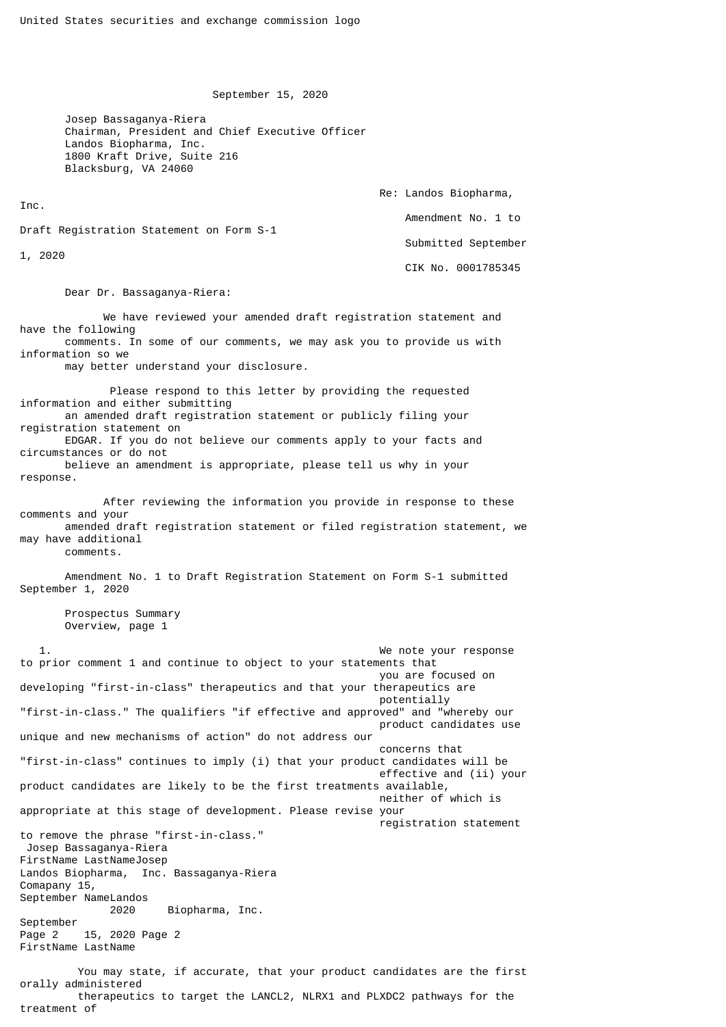September 15, 2020

 Josep Bassaganya-Riera Chairman, President and Chief Executive Officer Landos Biopharma, Inc. 1800 Kraft Drive, Suite 216 Blacksburg, VA 24060

 Re: Landos Biopharma, Inc. Amendment No. 1 to Draft Registration Statement on Form S-1 Submitted September 1, 2020 CIK No. 0001785345

Dear Dr. Bassaganya-Riera:

 We have reviewed your amended draft registration statement and have the following comments. In some of our comments, we may ask you to provide us with information so we may better understand your disclosure. Please respond to this letter by providing the requested information and either submitting an amended draft registration statement or publicly filing your registration statement on EDGAR. If you do not believe our comments apply to your facts and circumstances or do not believe an amendment is appropriate, please tell us why in your response. After reviewing the information you provide in response to these comments and your amended draft registration statement or filed registration statement, we may have additional comments.

 Amendment No. 1 to Draft Registration Statement on Form S-1 submitted September 1, 2020

 Prospectus Summary Overview, page 1

We note your response to prior comment 1 and continue to object to your statements that you are focused on developing "first-in-class" therapeutics and that your therapeutics are potentially "first-in-class." The qualifiers "if effective and approved" and "whereby our product candidates use unique and new mechanisms of action" do not address our concerns that "first-in-class" continues to imply (i) that your product candidates will be effective and (ii) your product candidates are likely to be the first treatments available, neither of which is appropriate at this stage of development. Please revise your registration statement to remove the phrase "first-in-class." Josep Bassaganya-Riera FirstName LastNameJosep Landos Biopharma, Inc. Bassaganya-Riera Comapany 15, September NameLandos 2020 Biopharma, Inc. September Page 2 15, 2020 Page 2 FirstName LastName You may state, if accurate, that your product candidates are the first orally administered therapeutics to target the LANCL2, NLRX1 and PLXDC2 pathways for the treatment of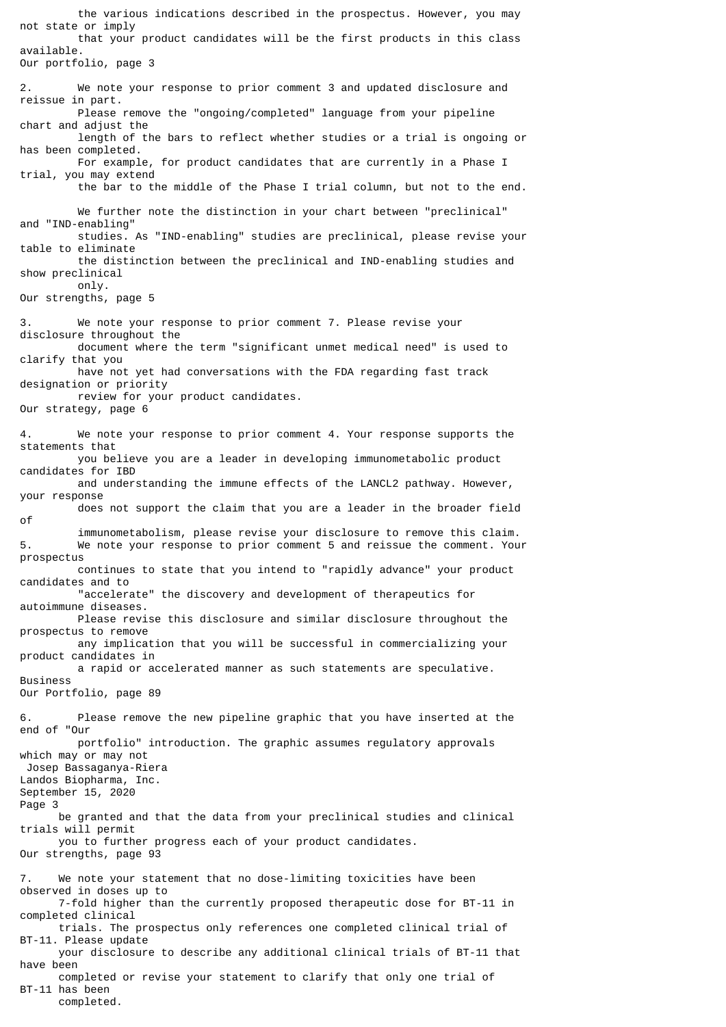the various indications described in the prospectus. However, you may not state or imply that your product candidates will be the first products in this class available. Our portfolio, page 3 2. We note your response to prior comment 3 and updated disclosure and reissue in part. Please remove the "ongoing/completed" language from your pipeline chart and adjust the length of the bars to reflect whether studies or a trial is ongoing or has been completed. For example, for product candidates that are currently in a Phase I trial, you may extend the bar to the middle of the Phase I trial column, but not to the end. We further note the distinction in your chart between "preclinical" and "IND-enabling" studies. As "IND-enabling" studies are preclinical, please revise your table to eliminate the distinction between the preclinical and IND-enabling studies and show preclinical only. Our strengths, page 5 3. We note your response to prior comment 7. Please revise your disclosure throughout the document where the term "significant unmet medical need" is used to clarify that you have not yet had conversations with the FDA regarding fast track designation or priority review for your product candidates. Our strategy, page 6 4. We note your response to prior comment 4. Your response supports the statements that you believe you are a leader in developing immunometabolic product candidates for IBD and understanding the immune effects of the LANCL2 pathway. However, your response does not support the claim that you are a leader in the broader field of immunometabolism, please revise your disclosure to remove this claim. 5. We note your response to prior comment 5 and reissue the comment. Your prospectus continues to state that you intend to "rapidly advance" your product candidates and to "accelerate" the discovery and development of therapeutics for autoimmune diseases. Please revise this disclosure and similar disclosure throughout the prospectus to remove any implication that you will be successful in commercializing your product candidates in a rapid or accelerated manner as such statements are speculative. Business Our Portfolio, page 89 6. Please remove the new pipeline graphic that you have inserted at the end of "Our portfolio" introduction. The graphic assumes regulatory approvals which may or may not Josep Bassaganya-Riera Landos Biopharma, Inc. September 15, 2020 Page 3 be granted and that the data from your preclinical studies and clinical trials will permit you to further progress each of your product candidates. Our strengths, page 93 7. We note your statement that no dose-limiting toxicities have been observed in doses up to 7-fold higher than the currently proposed therapeutic dose for BT-11 in completed clinical trials. The prospectus only references one completed clinical trial of BT-11. Please update your disclosure to describe any additional clinical trials of BT-11 that have been completed or revise your statement to clarify that only one trial of BT-11 has been completed.